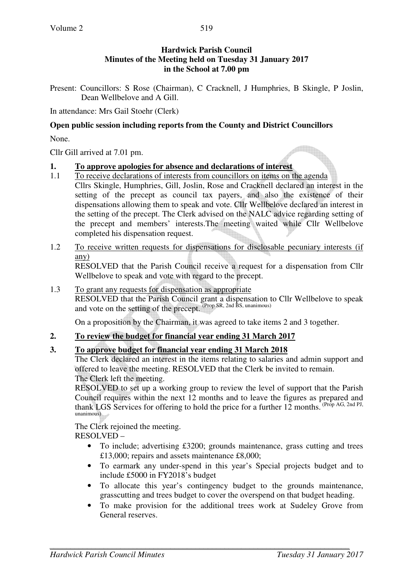## **Hardwick Parish Council Minutes of the Meeting held on Tuesday 31 January 2017 in the School at 7.00 pm**

Present: Councillors: S Rose (Chairman), C Cracknell, J Humphries, B Skingle, P Joslin, Dean Wellbelove and A Gill.

In attendance: Mrs Gail Stoehr (Clerk)

#### **Open public session including reports from the County and District Councillors**

None.

Cllr Gill arrived at 7.01 pm.

### **1. To approve apologies for absence and declarations of interest**

- 1.1 To receive declarations of interests from councillors on items on the agenda
- Cllrs Skingle, Humphries, Gill, Joslin, Rose and Cracknell declared an interest in the setting of the precept as council tax payers, and also the existence of their dispensations allowing them to speak and vote. Cllr Wellbelove declared an interest in the setting of the precept. The Clerk advised on the NALC advice regarding setting of the precept and members' interests.The meeting waited while Cllr Wellbelove completed his dispensation request.
- 1.2 To receive written requests for dispensations for disclosable pecuniary interests (if any)

RESOLVED that the Parish Council receive a request for a dispensation from Cllr Wellbelove to speak and vote with regard to the precept.

#### 1.3 To grant any requests for dispensation as appropriate

RESOLVED that the Parish Council grant a dispensation to Cllr Wellbelove to speak and vote on the setting of the precept. (Prop SR, 2nd BS, unanimous)

On a proposition by the Chairman, it was agreed to take items 2 and 3 together.

# **2. To review the budget for financial year ending 31 March 2017**

# **3. To approve budget for financial year ending 31 March 2018**

 The Clerk declared an interest in the items relating to salaries and admin support and offered to leave the meeting. RESOLVED that the Clerk be invited to remain. The Clerk left the meeting.

RESOLVED to set up a working group to review the level of support that the Parish Council requires within the next 12 months and to leave the figures as prepared and thank LGS Services for offering to hold the price for a further  $12$  months. (Prop AG, 2nd PJ, unanimous)

The Clerk rejoined the meeting. RESOLVED –

- To include; advertising £3200; grounds maintenance, grass cutting and trees £13,000; repairs and assets maintenance £8,000;
- To earmark any under-spend in this year's Special projects budget and to include £5000 in FY2018's budget
- To allocate this year's contingency budget to the grounds maintenance, grasscutting and trees budget to cover the overspend on that budget heading.
- To make provision for the additional trees work at Sudeley Grove from General reserves.